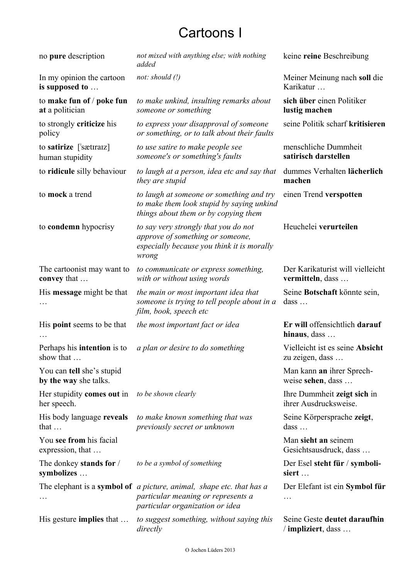## Cartoons I

| no pure description                                | not mixed with anything else; with nothing<br>added                                                                                           | keine reine Beschreibung                             |
|----------------------------------------------------|-----------------------------------------------------------------------------------------------------------------------------------------------|------------------------------------------------------|
| In my opinion the cartoon<br>is supposed to        | not: should $(!)$                                                                                                                             | Meiner Meinung nach soll die<br>Karikatur            |
| to make fun of / poke fun<br>at a politician       | to make unkind, insulting remarks about<br>someone or something                                                                               | sich über einen Politiker<br>lustig machen           |
| to strongly <b>criticize</b> his<br>policy         | to express your disapproval of someone<br>or something, or to talk about their faults                                                         | seine Politik scharf kritisieren                     |
| to satirize ['sættratz]<br>human stupidity         | to use satire to make people see<br>someone's or something's faults                                                                           | menschliche Dummheit<br>satirisch darstellen         |
| to ridicule silly behaviour                        | to laugh at a person, idea etc and say that<br>they are stupid                                                                                | dummes Verhalten lächerlich<br>machen                |
| to mock a trend                                    | to laugh at someone or something and try<br>to make them look stupid by saying unkind<br>things about them or by copying them                 | einen Trend verspotten                               |
| to condemn hypocrisy                               | to say very strongly that you do not<br>approve of something or someone,<br>especially because you think it is morally<br>wrong               | Heuchelei verurteilen                                |
| The cartoonist may want to<br>convey that          | to communicate or express something,<br>with or without using words                                                                           | Der Karikaturist will vielleicht<br>vermitteln, dass |
| His message might be that                          | the main or most important idea that<br>someone is trying to tell people about in a<br>film, book, speech etc                                 | Seine Botschaft könnte sein,<br>$dass \dots$         |
| His <b>point</b> seems to be that                  | the most important fact or idea                                                                                                               | Er will offensichtlich darauf<br>hinaus, dass        |
| Perhaps his <b>intention</b> is to<br>show that    | a plan or desire to do something                                                                                                              | Vielleicht ist es seine Absicht<br>zu zeigen, dass   |
| You can tell she's stupid<br>by the way she talks. |                                                                                                                                               | Man kann an ihrer Sprech-<br>weise sehen, dass       |
| Her stupidity comes out in<br>her speech.          | to be shown clearly                                                                                                                           | Ihre Dummheit zeigt sich in<br>ihrer Ausdrucksweise. |
| His body language reveals<br>that $\dots$          | to make known something that was<br>previously secret or unknown                                                                              | Seine Körpersprache zeigt,<br>$dass \dots$           |
| You see from his facial<br>expression, that        |                                                                                                                                               | Man sieht an seinem<br>Gesichtsausdruck, dass        |
| The donkey stands for /<br>symbolizes              | to be a symbol of something                                                                                                                   | Der Esel steht für / symboli-<br>siert               |
|                                                    | The elephant is a symbol of a picture, animal, shape etc. that has a<br>particular meaning or represents a<br>particular organization or idea | Der Elefant ist ein Symbol für<br>.                  |
| His gesture <b>implies</b> that                    | to suggest something, without saying this<br>directly                                                                                         | Seine Geste deutet daraufhin<br>/ impliziert, dass   |